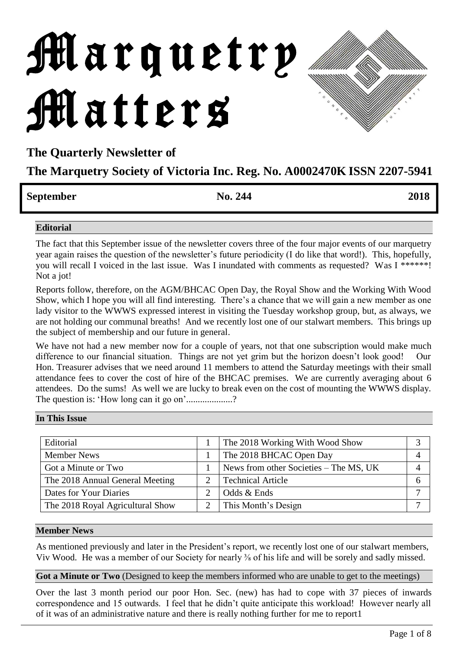# Marquetry Matters

**The Quarterly Newsletter of** 

# **The Marquetry Society of Victoria Inc. Reg. No. A0002470K ISSN 2207-5941**

# **September No. 244 2018**

#### **Editorial**

The fact that this September issue of the newsletter covers three of the four major events of our marquetry year again raises the question of the newsletter's future periodicity (I do like that word!). This, hopefully, you will recall I voiced in the last issue. Was I inundated with comments as requested? Was I \*\*\*\*\*\*! Not a jot!

Reports follow, therefore, on the AGM/BHCAC Open Day, the Royal Show and the Working With Wood Show, which I hope you will all find interesting. There's a chance that we will gain a new member as one lady visitor to the WWWS expressed interest in visiting the Tuesday workshop group, but, as always, we are not holding our communal breaths! And we recently lost one of our stalwart members. This brings up the subject of membership and our future in general.

We have not had a new member now for a couple of years, not that one subscription would make much difference to our financial situation. Things are not yet grim but the horizon doesn't look good! Our Hon. Treasurer advises that we need around 11 members to attend the Saturday meetings with their small attendance fees to cover the cost of hire of the BHCAC premises. We are currently averaging about 6 attendees. Do the sums! As well we are lucky to break even on the cost of mounting the WWWS display. The question is: 'How long can it go on'...................?

|  | In This Issue |
|--|---------------|
|  |               |

| Editorial                        | The 2018 Working With Wood Show        |   |
|----------------------------------|----------------------------------------|---|
| <b>Member News</b>               | The 2018 BHCAC Open Day                |   |
| Got a Minute or Two              | News from other Societies – The MS, UK |   |
| The 2018 Annual General Meeting  | <b>Technical Article</b>               | n |
| Dates for Your Diaries           | Odds & Ends                            |   |
| The 2018 Royal Agricultural Show | This Month's Design                    |   |

#### **Member News**

As mentioned previously and later in the President's report, we recently lost one of our stalwart members, Viv Wood. He was a member of our Society for nearly ⅜ of his life and will be sorely and sadly missed.

**Got a Minute or Two** (Designed to keep the members informed who are unable to get to the meetings)

Over the last 3 month period our poor Hon. Sec. (new) has had to cope with 37 pieces of inwards correspondence and 15 outwards. I feel that he didn't quite anticipate this workload! However nearly all of it was of an administrative nature and there is really nothing further for me to report1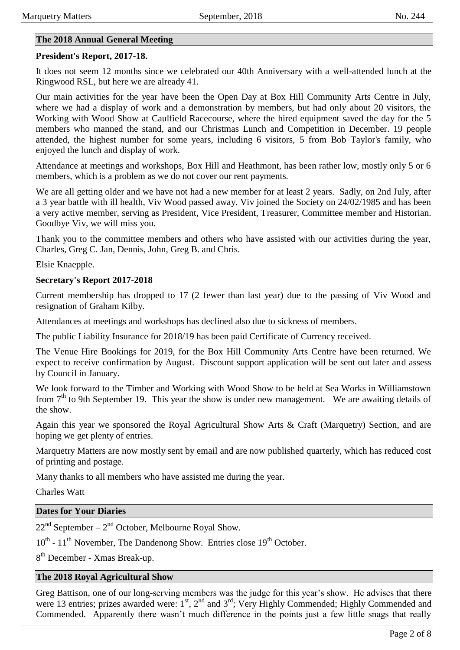#### **The 2018 Annual General Meeting**

#### **President's Report, 2017-18.**

It does not seem 12 months since we celebrated our 40th Anniversary with a well-attended lunch at the Ringwood RSL, but here we are already 41.

Our main activities for the year have been the Open Day at Box Hill Community Arts Centre in July, where we had a display of work and a demonstration by members, but had only about 20 visitors, the Working with Wood Show at Caulfield Racecourse, where the hired equipment saved the day for the 5 members who manned the stand, and our Christmas Lunch and Competition in December. 19 people attended, the highest number for some years, including 6 visitors, 5 from Bob Taylor's family, who enjoyed the lunch and display of work.

Attendance at meetings and workshops, Box Hill and Heathmont, has been rather low, mostly only 5 or 6 members, which is a problem as we do not cover our rent payments.

We are all getting older and we have not had a new member for at least 2 years. Sadly, on 2nd July, after a 3 year battle with ill health, Viv Wood passed away. Viv joined the Society on 24/02/1985 and has been a very active member, serving as President, Vice President, Treasurer, Committee member and Historian. Goodbye Viv, we will miss you.

Thank you to the committee members and others who have assisted with our activities during the year, Charles, Greg C. Jan, Dennis, John, Greg B. and Chris.

Elsie Knaepple.

#### **Secretary's Report 2017-2018**

Current membership has dropped to 17 (2 fewer than last year) due to the passing of Viv Wood and resignation of Graham Kilby.

Attendances at meetings and workshops has declined also due to sickness of members.

The public Liability Insurance for 2018/19 has been paid Certificate of Currency received.

The Venue Hire Bookings for 2019, for the Box Hill Community Arts Centre have been returned. We expect to receive confirmation by August. Discount support application will be sent out later and assess by Council in January.

We look forward to the Timber and Working with Wood Show to be held at Sea Works in Williamstown from 7<sup>th</sup> to 9th September 19. This year the show is under new management. We are awaiting details of the show.

Again this year we sponsored the Royal Agricultural Show Arts & Craft (Marquetry) Section, and are hoping we get plenty of entries.

Marquetry Matters are now mostly sent by email and are now published quarterly, which has reduced cost of printing and postage.

Many thanks to all members who have assisted me during the year.

Charles Watt

#### **Dates for Your Diaries**

 $22<sup>nd</sup>$  September –  $2<sup>nd</sup>$  October, Melbourne Royal Show.

10<sup>th</sup> - 11<sup>th</sup> November, The Dandenong Show. Entries close 19<sup>th</sup> October.

8<sup>th</sup> December - Xmas Break-up.

#### **The 2018 Royal Agricultural Show**

Greg Battison, one of our long-serving members was the judge for this year's show. He advises that there were 13 entries; prizes awarded were: 1<sup>st</sup>, 2<sup>nd</sup> and 3<sup>rd</sup>; Very Highly Commended; Highly Commended and Commended. Apparently there wasn't much difference in the points just a few little snags that really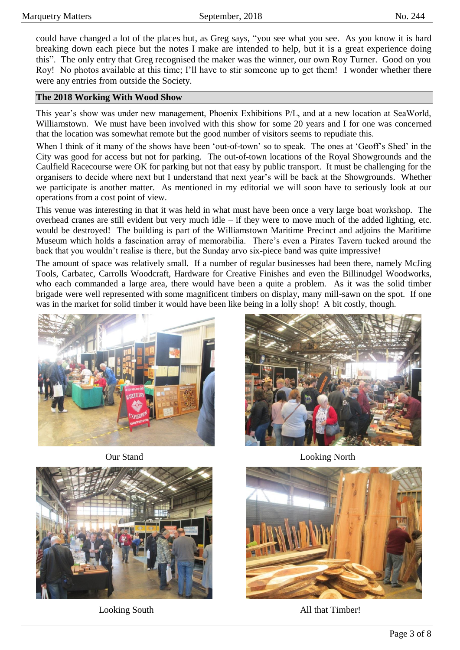could have changed a lot of the places but, as Greg says, "you see what you see. As you know it is hard breaking down each piece but the notes I make are intended to help, but it is a great experience doing this". The only entry that Greg recognised the maker was the winner, our own Roy Turner. Good on you Roy! No photos available at this time; I'll have to stir someone up to get them! I wonder whether there were any entries from outside the Society.

#### **The 2018 Working With Wood Show**

This year's show was under new management, Phoenix Exhibitions P/L, and at a new location at SeaWorld, Williamstown. We must have been involved with this show for some 20 years and I for one was concerned that the location was somewhat remote but the good number of visitors seems to repudiate this.

When I think of it many of the shows have been 'out-of-town' so to speak. The ones at 'Geoff's Shed' in the City was good for access but not for parking. The out-of-town locations of the Royal Showgrounds and the Caulfield Racecourse were OK for parking but not that easy by public transport. It must be challenging for the organisers to decide where next but I understand that next year's will be back at the Showgrounds. Whether we participate is another matter. As mentioned in my editorial we will soon have to seriously look at our operations from a cost point of view.

This venue was interesting in that it was held in what must have been once a very large boat workshop. The overhead cranes are still evident but very much idle – if they were to move much of the added lighting, etc. would be destroyed! The building is part of the Williamstown Maritime Precinct and adjoins the Maritime Museum which holds a fascination array of memorabilia. There's even a Pirates Tavern tucked around the back that you wouldn't realise is there, but the Sunday arvo six-piece band was quite impressive!

The amount of space was relatively small. If a number of regular businesses had been there, namely McJing Tools, Carbatec, Carrolls Woodcraft, Hardware for Creative Finishes and even the Billinudgel Woodworks, who each commanded a large area, there would have been a quite a problem. As it was the solid timber brigade were well represented with some magnificent timbers on display, many mill-sawn on the spot. If one was in the market for solid timber it would have been like being in a lolly shop! A bit costly, though.







Our Stand Looking North



Looking South All that Timber!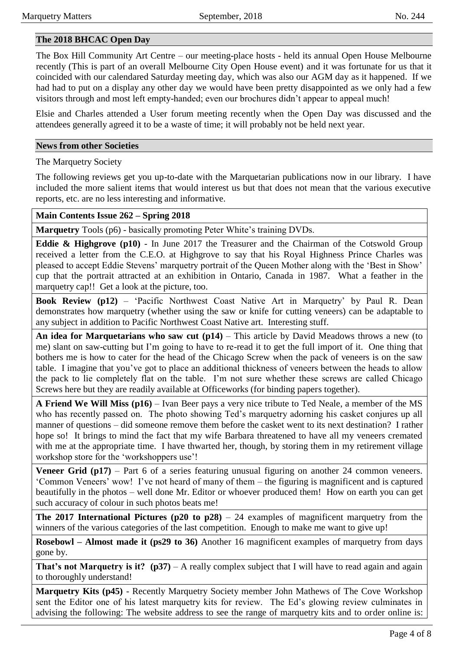#### **The 2018 BHCAC Open Day**

The Box Hill Community Art Centre – our meeting-place hosts - held its annual Open House Melbourne recently (This is part of an overall Melbourne City Open House event) and it was fortunate for us that it coincided with our calendared Saturday meeting day, which was also our AGM day as it happened. If we had had to put on a display any other day we would have been pretty disappointed as we only had a few visitors through and most left empty-handed; even our brochures didn't appear to appeal much!

Elsie and Charles attended a User forum meeting recently when the Open Day was discussed and the attendees generally agreed it to be a waste of time; it will probably not be held next year.

#### **News from other Societies**

The Marquetry Society

The following reviews get you up-to-date with the Marquetarian publications now in our library. I have included the more salient items that would interest us but that does not mean that the various executive reports, etc. are no less interesting and informative.

#### **Main Contents Issue 262 – Spring 2018**

**Marquetry** Tools (p6) - basically promoting Peter White's training DVDs.

**Eddie & Highgrove (p10)** - In June 2017 the Treasurer and the Chairman of the Cotswold Group received a letter from the C.E.O. at Highgrove to say that his Royal Highness Prince Charles was pleased to accept Eddie Stevens' marquetry portrait of the Queen Mother along with the 'Best in Show' cup that the portrait attracted at an exhibition in Ontario, Canada in 1987. What a feather in the marquetry cap!! Get a look at the picture, too.

**Book Review (p12)** – 'Pacific Northwest Coast Native Art in Marquetry' by Paul R. Dean demonstrates how marquetry (whether using the saw or knife for cutting veneers) can be adaptable to any subject in addition to Pacific Northwest Coast Native art. Interesting stuff.

**An idea for Marquetarians who saw cut (p14)** – This article by David Meadows throws a new (to me) slant on saw-cutting but I'm going to have to re-read it to get the full import of it. One thing that bothers me is how to cater for the head of the Chicago Screw when the pack of veneers is on the saw table. I imagine that you've got to place an additional thickness of veneers between the heads to allow the pack to lie completely flat on the table. I'm not sure whether these screws are called Chicago Screws here but they are readily available at Officeworks (for binding papers together).

**A Friend We Will Miss (p16)** – Ivan Beer pays a very nice tribute to Ted Neale, a member of the MS who has recently passed on. The photo showing Ted's marquetry adorning his casket conjures up all manner of questions – did someone remove them before the casket went to its next destination? I rather hope so! It brings to mind the fact that my wife Barbara threatened to have all my veneers cremated with me at the appropriate time. I have thwarted her, though, by storing them in my retirement village workshop store for the 'workshoppers use'!

**Veneer Grid (p17)** – Part 6 of a series featuring unusual figuring on another 24 common veneers. 'Common Veneers' wow! I've not heard of many of them – the figuring is magnificent and is captured beautifully in the photos – well done Mr. Editor or whoever produced them! How on earth you can get such accuracy of colour in such photos beats me!

**The 2017 International Pictures (p20 to p28)** – 24 examples of magnificent marquetry from the winners of the various categories of the last competition. Enough to make me want to give up!

**Rosebowl – Almost made it (ps29 to 36)** Another 16 magnificent examples of marquetry from days gone by.

**That's not Marquetry is it?** (p37) – A really complex subject that I will have to read again and again to thoroughly understand!

**Marquetry Kits (p45)** - Recently Marquetry Society member John Mathews of The Cove Workshop sent the Editor one of his latest marquetry kits for review. The Ed's glowing review culminates in advising the following: The website address to see the range of marquetry kits and to order online is: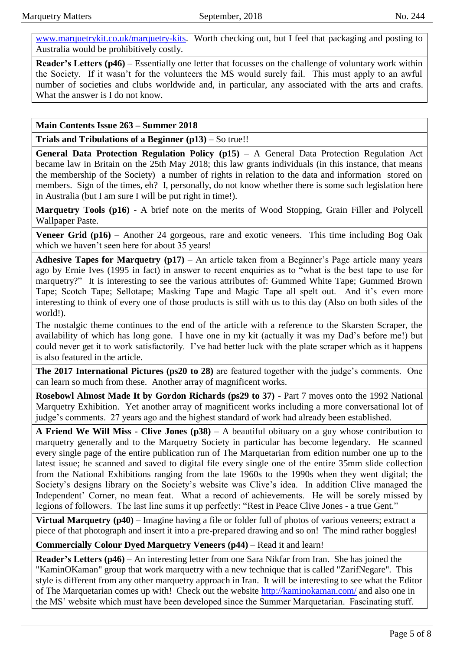[www.marquetrykit.co.uk/marquetry-kits.](www.marquetrykit.co.uk/marquetry-kits) Worth checking out, but I feel that packaging and posting to Australia would be prohibitively costly.

**Reader's Letters (p46)** – Essentially one letter that focusses on the challenge of voluntary work within the Society. If it wasn't for the volunteers the MS would surely fail. This must apply to an awful number of societies and clubs worldwide and, in particular, any associated with the arts and crafts. What the answer is I do not know.

**Main Contents Issue 263 – Summer 2018**

**Trials and Tribulations of a Beginner (p13)** – So true!!

**General Data Protection Regulation Policy (p15)** – A General Data Protection Regulation Act became law in Britain on the 25th May 2018; this law grants individuals (in this instance, that means the membership of the Society) a number of rights in relation to the data and information stored on members. Sign of the times, eh? I, personally, do not know whether there is some such legislation here in Australia (but I am sure I will be put right in time!).

**Marquetry Tools (p16)** - A brief note on the merits of Wood Stopping, Grain Filler and Polycell Wallpaper Paste.

**Veneer Grid (p16)** – Another 24 gorgeous, rare and exotic veneers. This time including Bog Oak which we haven't seen here for about 35 years!

**Adhesive Tapes for Marquetry (p17)** – An article taken from a Beginner's Page article many years ago by Ernie Ives (1995 in fact) in answer to recent enquiries as to "what is the best tape to use for marquetry?" It is interesting to see the various attributes of: Gummed White Tape; Gummed Brown Tape; Scotch Tape; Sellotape; Masking Tape and Magic Tape all spelt out. And it's even more interesting to think of every one of those products is still with us to this day (Also on both sides of the world!).

The nostalgic theme continues to the end of the article with a reference to the Skarsten Scraper, the availability of which has long gone. I have one in my kit (actually it was my Dad's before me!) but could never get it to work satisfactorily. I've had better luck with the plate scraper which as it happens is also featured in the article.

**The 2017 International Pictures (ps20 to 28)** are featured together with the judge's comments. One can learn so much from these. Another array of magnificent works.

**Rosebowl Almost Made It by Gordon Richards (ps29 to 37)** - Part 7 moves onto the 1992 National Marquetry Exhibition. Yet another array of magnificent works including a more conversational lot of judge's comments. 27 years ago and the highest standard of work had already been established.

**A Friend We Will Miss - Clive Jones (p38)** – A beautiful obituary on a guy whose contribution to marquetry generally and to the Marquetry Society in particular has become legendary. He scanned every single page of the entire publication run of The Marquetarian from edition number one up to the latest issue; he scanned and saved to digital file every single one of the entire 35mm slide collection from the National Exhibitions ranging from the late 1960s to the 1990s when they went digital; the Society's designs library on the Society's website was Clive's idea. In addition Clive managed the Independent' Corner, no mean feat. What a record of achievements. He will be sorely missed by legions of followers. The last line sums it up perfectly: "Rest in Peace Clive Jones - a true Gent."

**Virtual Marquetry (p40)** – Imagine having a file or folder full of photos of various veneers; extract a piece of that photograph and insert it into a pre-prepared drawing and so on! The mind rather boggles!

**Commercially Colour Dyed Marquetry Veneers (p44)** – Read it and learn!

**Reader's Letters (p46)** – An interesting letter from one Sara Nikfar from Iran. She has joined the "KaminOKaman" group that work marquetry with a new technique that is called "ZarifNegare". This style is different from any other marquetry approach in Iran. It will be interesting to see what the Editor of The Marquetarian comes up with! Check out the website<http://kaminokaman.com/> and also one in the MS' website which must have been developed since the Summer Marquetarian. Fascinating stuff.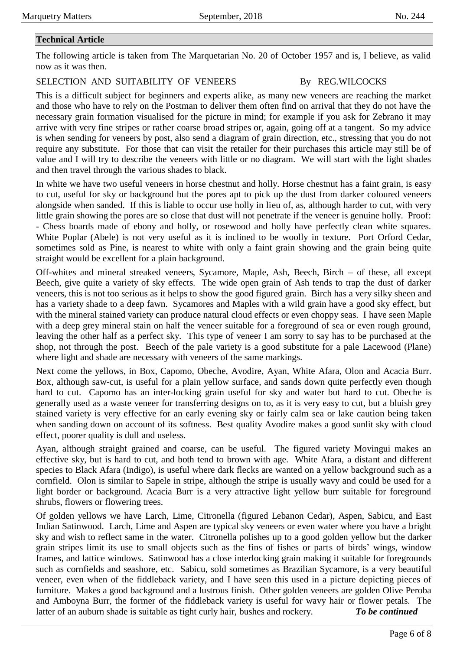### **Technical Article**

The following article is taken from The Marquetarian No. 20 of October 1957 and is, I believe, as valid now as it was then.

#### SELECTION AND SUITABILITY OF VENEERS By REG.WILCOCKS

This is a difficult subject for beginners and experts alike, as many new veneers are reaching the market and those who have to rely on the Postman to deliver them often find on arrival that they do not have the necessary grain formation visualised for the picture in mind; for example if you ask for Zebrano it may arrive with very fine stripes or rather coarse broad stripes or, again, going off at a tangent. So my advice is when sending for veneers by post, also send a diagram of grain direction, etc., stressing that you do not require any substitute. For those that can visit the retailer for their purchases this article may still be of value and I will try to describe the veneers with little or no diagram. We will start with the light shades and then travel through the various shades to black.

In white we have two useful veneers in horse chestnut and holly. Horse chestnut has a faint grain, is easy to cut, useful for sky or background but the pores apt to pick up the dust from darker coloured veneers alongside when sanded. If this is liable to occur use holly in lieu of, as, although harder to cut, with very little grain showing the pores are so close that dust will not penetrate if the veneer is genuine holly. Proof: - Chess boards made of ebony and holly, or rosewood and holly have perfectly clean white squares. White Poplar (Abele) is not very useful as it is inclined to be woolly in texture. Port Orford Cedar, sometimes sold as Pine, is nearest to white with only a faint grain showing and the grain being quite straight would be excellent for a plain background.

Off-whites and mineral streaked veneers, Sycamore, Maple, Ash, Beech, Birch – of these, all except Beech, give quite a variety of sky effects. The wide open grain of Ash tends to trap the dust of darker veneers, this is not too serious as it helps to show the good figured grain. Birch has a very silky sheen and has a variety shade to a deep fawn. Sycamores and Maples with a wild grain have a good sky effect, but with the mineral stained variety can produce natural cloud effects or even choppy seas. I have seen Maple with a deep grey mineral stain on half the veneer suitable for a foreground of sea or even rough ground, leaving the other half as a perfect sky. This type of veneer I am sorry to say has to be purchased at the shop, not through the post. Beech of the pale variety is a good substitute for a pale Lacewood (Plane) where light and shade are necessary with veneers of the same markings.

Next come the yellows, in Box, Capomo, Obeche, Avodire, Ayan, White Afara, Olon and Acacia Burr. Box, although saw-cut, is useful for a plain yellow surface, and sands down quite perfectly even though hard to cut. Capomo has an inter-locking grain useful for sky and water but hard to cut. Obeche is generally used as a waste veneer for transferring designs on to, as it is very easy to cut, but a bluish grey stained variety is very effective for an early evening sky or fairly calm sea or lake caution being taken when sanding down on account of its softness. Best quality Avodire makes a good sunlit sky with cloud effect, poorer quality is dull and useless.

Ayan, although straight grained and coarse, can be useful. The figured variety Movingui makes an effective sky, but is hard to cut, and both tend to brown with age. White Afara, a distant and different species to Black Afara (Indigo), is useful where dark flecks are wanted on a yellow background such as a cornfield. Olon is similar to Sapele in stripe, although the stripe is usually wavy and could be used for a light border or background. Acacia Burr is a very attractive light yellow burr suitable for foreground shrubs, flowers or flowering trees.

Of golden yellows we have Larch, Lime, Citronella (figured Lebanon Cedar), Aspen, Sabicu, and East Indian Satinwood. Larch, Lime and Aspen are typical sky veneers or even water where you have a bright sky and wish to reflect same in the water. Citronella polishes up to a good golden yellow but the darker grain stripes limit its use to small objects such as the fins of fishes or parts of birds' wings, window frames, and lattice windows. Satinwood has a close interlocking grain making it suitable for foregrounds such as cornfields and seashore, etc. Sabicu, sold sometimes as Brazilian Sycamore, is a very beautiful veneer, even when of the fiddleback variety, and I have seen this used in a picture depicting pieces of furniture. Makes a good background and a lustrous finish. Other golden veneers are golden Olive Peroba and Amboyna Burr, the former of the fiddleback variety is useful for wavy hair or flower petals. The latter of an auburn shade is suitable as tight curly hair, bushes and rockery. *To be continued*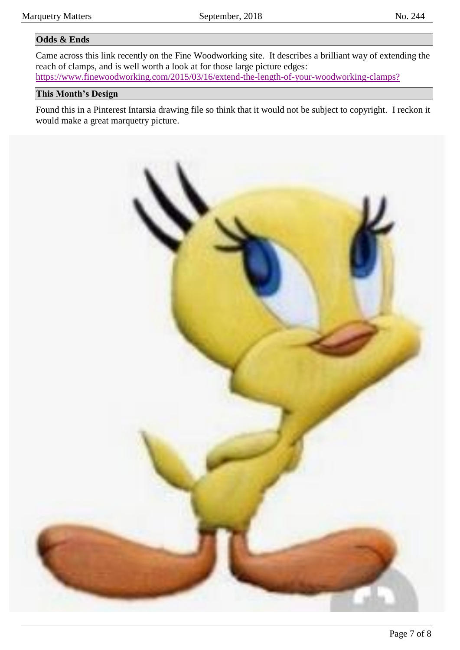#### **Odds & Ends**

Came across this link recently on the Fine Woodworking site. It describes a brilliant way of extending the reach of clamps, and is well worth a look at for those large picture edges: <https://www.finewoodworking.com/2015/03/16/extend-the-length-of-your-woodworking-clamps?>

#### **This Month's Design**

Found this in a Pinterest Intarsia drawing file so think that it would not be subject to copyright. I reckon it would make a great marquetry picture.